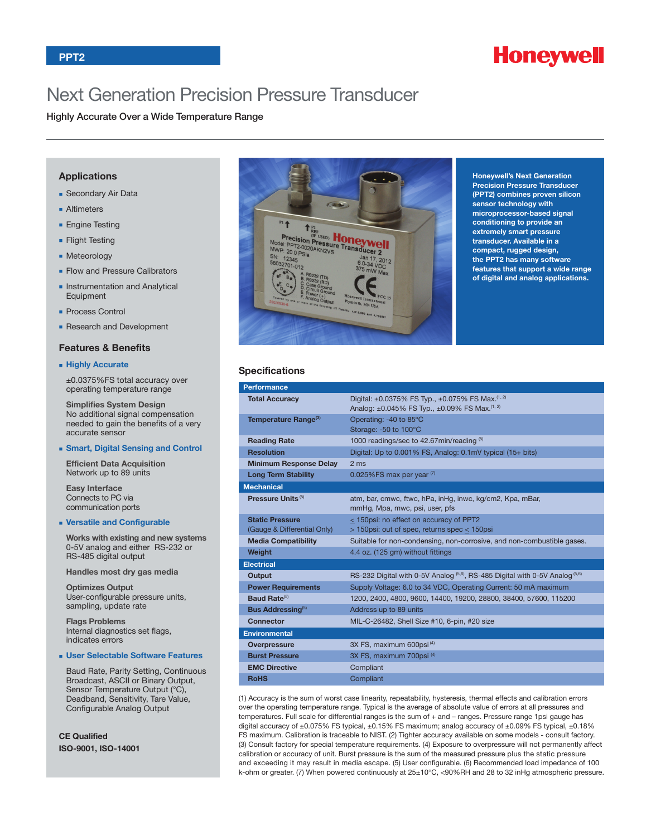

# Next Generation Precision Pressure Transducer

Highly Accurate Over a Wide Temperature Range

## **Applications**

- **BECONDARY Air Data**
- **n** Altimeters
- **Engine Testing**
- **Flight Testing**
- **n** Meteorology
- Flow and Pressure Calibrators
- **n** Instrumentation and Analytical **Equipment**
- **Process Control**
- **Research and Development**

#### **Features & Benefits**

#### <sup>n</sup> **Highly Accurate**

±0.0375%FS total accuracy over operating temperature range

**Simplifies System Design** No additional signal compensation needed to gain the benefits of a very accurate sensor

#### <sup>n</sup> **Smart, Digital Sensing and Control**

**Efficient Data Acquisition** Network up to 89 units

**Easy Interface** Connects to PC via communication ports

#### <sup>n</sup> **Versatile and Configurable**

**Works with existing and new systems** 0-5V analog and either RS-232 or RS-485 digital output

**Handles most dry gas media**

**Optimizes Output** User-configurable pressure units, sampling, update rate

**Flags Problems** Internal diagnostics set flags, indicates errors

#### <sup>n</sup> **User Selectable Software Features**

Baud Rate, Parity Setting, Continuous Broadcast, ASCII or Binary Output, Sensor Temperature Output (°C), Deadband, Sensitivity, Tare Value, Configurable Analog Output

**CE Qualified ISO-9001, ISO-14001**



**Honeywell's Next Generation Precision Pressure Transducer (PPT2) combines proven silicon sensor technology with microprocessor-based signal conditioning to provide an extremely smart pressure transducer. Available in a compact, rugged design, the PPT2 has many software features that support a wide range of digital and analog applications.**

### **Specifications**

| <b>Performance</b>                   |                                                                                                                                                   |  |  |  |  |
|--------------------------------------|---------------------------------------------------------------------------------------------------------------------------------------------------|--|--|--|--|
| <b>Total Accuracy</b>                | Digital: $\pm 0.0375\%$ FS Typ., $\pm 0.075\%$ FS Max. <sup>(1, 2)</sup><br>Analog: $\pm 0.045\%$ FS Typ., $\pm 0.09\%$ FS Max. <sup>(1, 2)</sup> |  |  |  |  |
| Temperature Range <sup>(3)</sup>     | Operating: -40 to 85°C<br>Storage: -50 to 100°C                                                                                                   |  |  |  |  |
| <b>Reading Rate</b>                  | 1000 readings/sec to 42.67min/reading (5)                                                                                                         |  |  |  |  |
| <b>Resolution</b>                    | Digital: Up to 0.001% FS, Analog: 0.1mV typical (15+ bits)                                                                                        |  |  |  |  |
| <b>Minimum Response Delay</b>        | 2 <sub>ms</sub>                                                                                                                                   |  |  |  |  |
| <b>Long Term Stability</b>           | 0.025%FS max per year $(7)$                                                                                                                       |  |  |  |  |
| <b>Mechanical</b>                    |                                                                                                                                                   |  |  |  |  |
| Pressure Units <sup>(5)</sup>        | atm, bar, cmwc, ftwc, hPa, inHg, inwc, kg/cm2, Kpa, mBar,<br>mmHg, Mpa, mwc, psi, user, pfs                                                       |  |  |  |  |
| <b>Static Pressure</b>               | < 150psi: no effect on accuracy of PPT2                                                                                                           |  |  |  |  |
| (Gauge & Differential Only)          | $>$ 150psi: out of spec, returns spec $\leq$ 150psi                                                                                               |  |  |  |  |
| <b>Media Compatibility</b>           | Suitable for non-condensing, non-corrosive, and non-combustible gases.                                                                            |  |  |  |  |
| Weight                               | 4.4 oz. (125 gm) without fittings                                                                                                                 |  |  |  |  |
| <b>Electrical</b>                    |                                                                                                                                                   |  |  |  |  |
| <b>Output</b>                        | RS-232 Digital with 0-5V Analog $(5.6)$ , RS-485 Digital with 0-5V Analog $(5.6)$                                                                 |  |  |  |  |
| <b>Power Requirements</b>            | Supply Voltage: 6.0 to 34 VDC, Operating Current: 50 mA maximum                                                                                   |  |  |  |  |
| Baud Rate <sup>(5)</sup>             | 1200, 2400, 4800, 9600, 14400, 19200, 28800, 38400, 57600, 115200                                                                                 |  |  |  |  |
| <b>Bus Addressing</b> <sup>(5)</sup> | Address up to 89 units                                                                                                                            |  |  |  |  |
| <b>Connector</b>                     | MIL-C-26482, Shell Size #10, 6-pin, #20 size                                                                                                      |  |  |  |  |
| <b>Environmental</b>                 |                                                                                                                                                   |  |  |  |  |
| <b>Overpressure</b>                  | 3X FS, maximum 600psi <sup>(4)</sup>                                                                                                              |  |  |  |  |
| <b>Burst Pressure</b>                | 3X FS, maximum 700psi <sup>(4)</sup>                                                                                                              |  |  |  |  |
| <b>EMC Directive</b>                 | Compliant                                                                                                                                         |  |  |  |  |
| <b>RoHS</b>                          | Compliant                                                                                                                                         |  |  |  |  |

(1) Accuracy is the sum of worst case linearity, repeatability, hysteresis, thermal effects and calibration errors over the operating temperature range. Typical is the average of absolute value of errors at all pressures and temperatures. Full scale for differential ranges is the sum of + and – ranges. Pressure range 1psi gauge has digital accuracy of ±0.075% FS typical, ±0.15% FS maximum; analog accuracy of ±0.09% FS typical, ±0.18% FS maximum. Calibration is traceable to NIST. (2) Tighter accuracy available on some models - consult factory. (3) Consult factory for special temperature requirements. (4) Exposure to overpressure will not permanently affect calibration or accuracy of unit. Burst pressure is the sum of the measured pressure plus the static pressure and exceeding it may result in media escape. (5) User configurable. (6) Recommended load impedance of 100 k-ohm or greater. (7) When powered continuously at 25±10°C, <90%RH and 28 to 32 inHg atmospheric pressure.